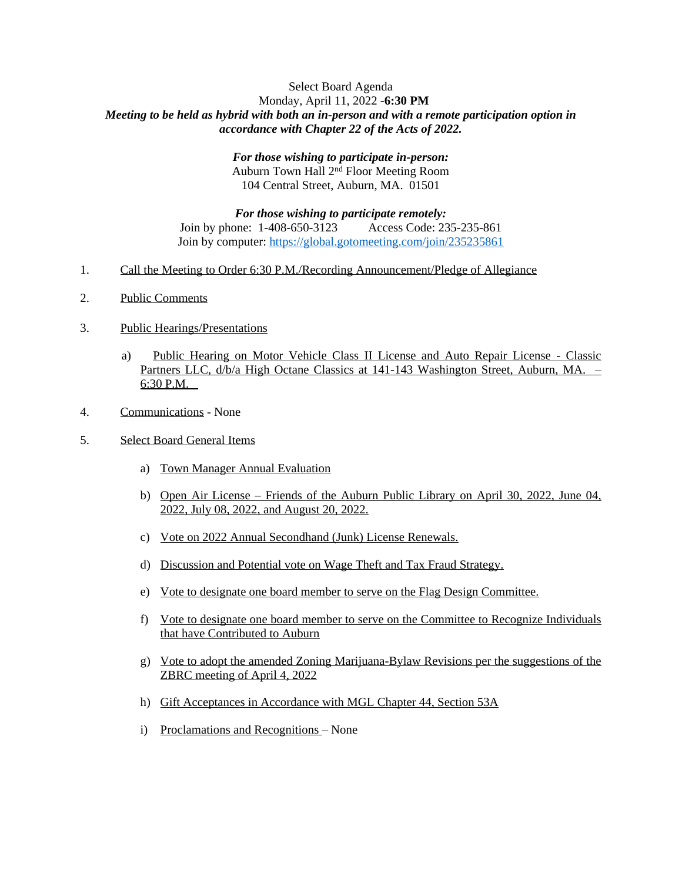## Select Board Agenda Monday, April 11, 2022 -**6:30 PM** *Meeting to be held as hybrid with both an in-person and with a remote participation option in accordance with Chapter 22 of the Acts of 2022.*

*For those wishing to participate in-person:* Auburn Town Hall 2nd Floor Meeting Room 104 Central Street, Auburn, MA. 01501

*For those wishing to participate remotely:* Join by phone: 1-408-650-3123 Access Code: 235-235-861 Join by computer: <https://global.gotomeeting.com/join/235235861>

- 1. Call the Meeting to Order 6:30 P.M./Recording Announcement/Pledge of Allegiance
- 2. Public Comments
- 3. Public Hearings/Presentations
	- a) Public Hearing on Motor Vehicle Class II License and Auto Repair License Classic Partners LLC, d/b/a High Octane Classics at 141-143 Washington Street, Auburn, MA. – 6:30 P.M.
- 4. Communications None
- 5. Select Board General Items
	- a) Town Manager Annual Evaluation
	- b) Open Air License Friends of the Auburn Public Library on April 30, 2022, June 04, 2022, July 08, 2022, and August 20, 2022.
	- c) Vote on 2022 Annual Secondhand (Junk) License Renewals.
	- d) Discussion and Potential vote on Wage Theft and Tax Fraud Strategy.
	- e) Vote to designate one board member to serve on the Flag Design Committee.
	- f) Vote to designate one board member to serve on the Committee to Recognize Individuals that have Contributed to Auburn
	- g) Vote to adopt the amended Zoning Marijuana-Bylaw Revisions per the suggestions of the ZBRC meeting of April 4, 2022
	- h) Gift Acceptances in Accordance with MGL Chapter 44, Section 53A
	- i) Proclamations and Recognitions None